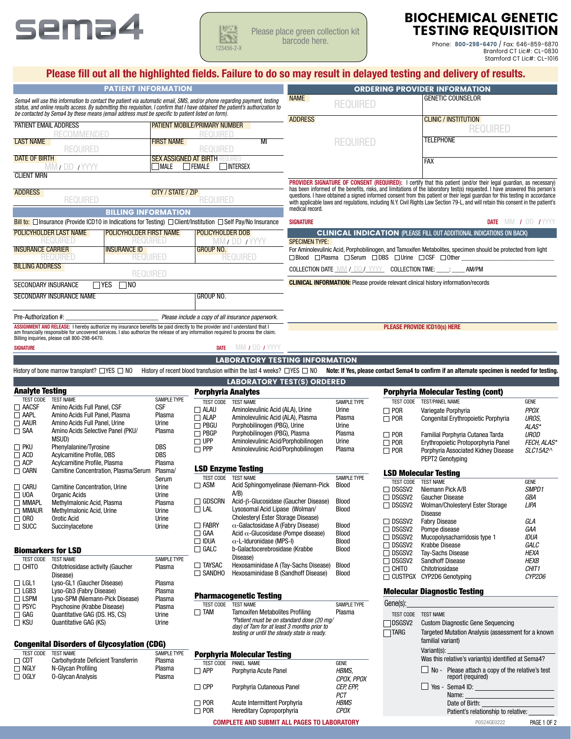



Please place green collection kit barcode here.

# BIOCHEMICAL GENETIC TESTING REQUISITION

Phone: 800-298-6470 / Fax: 646-859-6870 Branford CT Lic#: CL-0830 Stamford CT Lic#: CL-1016

PAGE 1 OF 2

|                                                                                                                                                                                                                                                                                                                                                                  |                                                                                                                                                                                   |                                        |                                                       |                                          |                                                                                           |                                                                                                                                                               |                              |                                | Please fill out all the highlighted fields. Failure to do so may result in delayed testing and delivery of results.                                                                                                                                                                                                                                                                                |                      |
|------------------------------------------------------------------------------------------------------------------------------------------------------------------------------------------------------------------------------------------------------------------------------------------------------------------------------------------------------------------|-----------------------------------------------------------------------------------------------------------------------------------------------------------------------------------|----------------------------------------|-------------------------------------------------------|------------------------------------------|-------------------------------------------------------------------------------------------|---------------------------------------------------------------------------------------------------------------------------------------------------------------|------------------------------|--------------------------------|----------------------------------------------------------------------------------------------------------------------------------------------------------------------------------------------------------------------------------------------------------------------------------------------------------------------------------------------------------------------------------------------------|----------------------|
| <b>PATIENT INFORMATION</b>                                                                                                                                                                                                                                                                                                                                       |                                                                                                                                                                                   |                                        |                                                       |                                          |                                                                                           | <b>ORDERING PROVIDER INFORMATION</b>                                                                                                                          |                              |                                |                                                                                                                                                                                                                                                                                                                                                                                                    |                      |
| Sema4 will use this information to contact the patient via automatic email, SMS, and/or phone regarding payment, testing<br>status, and online results access. By submitting this requisition, I confirm that I have obtained the patient's authorization to<br>be contacted by Sema4 by these means (email address must be specific to patient listed on form). |                                                                                                                                                                                   |                                        |                                                       |                                          |                                                                                           | <b>NAME</b>                                                                                                                                                   | <b>REQUIRED</b>              |                                | <b>GENETIC COUNSELOR</b>                                                                                                                                                                                                                                                                                                                                                                           |                      |
| PATIENT EMAIL ADDRESS                                                                                                                                                                                                                                                                                                                                            |                                                                                                                                                                                   |                                        | PATIENT MOBILE/PRIMARY NUMBER                         |                                          |                                                                                           | <b>ADDRESS</b>                                                                                                                                                |                              |                                | <b>CLINIC / INSTITUTION</b><br><b>REQUIRED</b>                                                                                                                                                                                                                                                                                                                                                     |                      |
| RECOMMENDED<br><b>LAST NAME</b>                                                                                                                                                                                                                                                                                                                                  |                                                                                                                                                                                   |                                        | <b>FIRST NAME</b>                                     | <b>REQUIRED</b><br>MI<br><b>REQUIRED</b> |                                                                                           | REQUIRED                                                                                                                                                      |                              | <b>TELEPHONE</b>               |                                                                                                                                                                                                                                                                                                                                                                                                    |                      |
| <b>REQUIRED</b><br><b>DATE OF BIRTH</b>                                                                                                                                                                                                                                                                                                                          |                                                                                                                                                                                   |                                        | <b>SEX ASSIGNED AT BIRTH REQUIRED</b><br><b>IMALE</b> | FEMALE                                   | <b>INTERSEX</b>                                                                           |                                                                                                                                                               |                              |                                | <b>FAX</b>                                                                                                                                                                                                                                                                                                                                                                                         |                      |
| <b>CLIENT MRN</b>                                                                                                                                                                                                                                                                                                                                                | MM / DD /YYYY                                                                                                                                                                     |                                        |                                                       |                                          |                                                                                           |                                                                                                                                                               |                              |                                | <b>PROVIDER SIGNATURE OF CONSENT (REQUIRED):</b> I certify that this patient (and/or their legal guardian, as necessary)                                                                                                                                                                                                                                                                           |                      |
| <b>ADDRESS</b>                                                                                                                                                                                                                                                                                                                                                   | <b>REQUIRED</b>                                                                                                                                                                   |                                        | CITY / STATE / ZIP                                    | <b>REQUIRED</b>                          |                                                                                           | medical record.                                                                                                                                               |                              |                                | has been informed of the benefits, risks, and limitations of the laboratory test(s) requested. I have answered this person's<br>questions. I have obtained a signed informed consent from this patient or their legal guardian for this testing in accordance<br>with applicable laws and regulations, including N.Y. Civil Rights Law Section 79-L, and will retain this consent in the patient's |                      |
|                                                                                                                                                                                                                                                                                                                                                                  | <b>Bill to:</b> $\Box$ Insurance (Provide ICD10 in Indications for Testing) $\Box$ Client/Institution $\Box$ Self Pay/No Insurance                                                | <b>BILLING INFORMATION</b>             |                                                       |                                          |                                                                                           | <b>SIGNATURE</b>                                                                                                                                              |                              |                                |                                                                                                                                                                                                                                                                                                                                                                                                    | DATE MM / DD / YYYY  |
|                                                                                                                                                                                                                                                                                                                                                                  | POLICYHOLDER LAST NAME                                                                                                                                                            | POLICYHOLDER FIRST NAME                |                                                       | POLICYHOLDER DOB                         |                                                                                           |                                                                                                                                                               |                              |                                | <b>CLINICAL INDICATION (PLEASE FILL OUT ADDITIONAL INDICATIONS ON BACK)</b>                                                                                                                                                                                                                                                                                                                        |                      |
|                                                                                                                                                                                                                                                                                                                                                                  | KEQUIKEL                                                                                                                                                                          | REQUIRED                               |                                                       | MM / DD / YYYY                           |                                                                                           | <b>SPECIMEN TYPE:</b>                                                                                                                                         |                              |                                |                                                                                                                                                                                                                                                                                                                                                                                                    |                      |
| <b>INSURANCE CARRIER</b>                                                                                                                                                                                                                                                                                                                                         | REQUIRED                                                                                                                                                                          | <b>INSURANCE ID</b><br><b>REQUIRED</b> |                                                       | <b>GROUP NO.</b><br><b>REQUIRED</b>      |                                                                                           | For Aminolevulinic Acid, Porphobilinogen, and Tamoxifen Metabolites, specimen should be protected from light<br>□Blood □Plasma □Serum □DBS □Urine □CSF □Other |                              |                                |                                                                                                                                                                                                                                                                                                                                                                                                    |                      |
| <b>BILLING ADDRESS</b>                                                                                                                                                                                                                                                                                                                                           |                                                                                                                                                                                   | <b>REQUIRED</b>                        |                                                       |                                          |                                                                                           |                                                                                                                                                               |                              |                                | COLLECTION DATE MM / DD / YYYY COLLECTION TIME: _____: ____<br>am/pm                                                                                                                                                                                                                                                                                                                               |                      |
| <b>SECONDARY INSURANCE</b>                                                                                                                                                                                                                                                                                                                                       |                                                                                                                                                                                   | $\neg$ yes<br>$\Box$ NO                |                                                       |                                          |                                                                                           |                                                                                                                                                               |                              |                                | <b>CLINICAL INFORMATION:</b> Please provide relevant clinical history information/records                                                                                                                                                                                                                                                                                                          |                      |
|                                                                                                                                                                                                                                                                                                                                                                  | <b>SECONDARY INSURANCE NAME</b>                                                                                                                                                   |                                        |                                                       | GROUP NO.                                |                                                                                           |                                                                                                                                                               |                              |                                |                                                                                                                                                                                                                                                                                                                                                                                                    |                      |
| Pre-Authorization #:                                                                                                                                                                                                                                                                                                                                             |                                                                                                                                                                                   |                                        |                                                       |                                          | Please include a copy of all insurance paperwork.                                         |                                                                                                                                                               |                              |                                |                                                                                                                                                                                                                                                                                                                                                                                                    |                      |
|                                                                                                                                                                                                                                                                                                                                                                  | ASSIGNMENT AND RELEASE: I hereby authorize my insurance benefits be paid directly to the provider and I understand that I                                                         |                                        |                                                       |                                          |                                                                                           | <b>PLEASE PROVIDE ICD10(s) HERE</b>                                                                                                                           |                              |                                |                                                                                                                                                                                                                                                                                                                                                                                                    |                      |
|                                                                                                                                                                                                                                                                                                                                                                  | am financially responsible for uncovered services. I also authorize the release of any information required to process the claim.<br>Billing inquiries, please call 800-298-6470. |                                        |                                                       |                                          |                                                                                           |                                                                                                                                                               |                              |                                |                                                                                                                                                                                                                                                                                                                                                                                                    |                      |
| <b>SIGNATURE</b>                                                                                                                                                                                                                                                                                                                                                 |                                                                                                                                                                                   |                                        |                                                       | <b>DATE</b>                              | MM / DD / YYYY                                                                            |                                                                                                                                                               |                              |                                |                                                                                                                                                                                                                                                                                                                                                                                                    |                      |
|                                                                                                                                                                                                                                                                                                                                                                  |                                                                                                                                                                                   |                                        |                                                       |                                          | <b>LABORATORY TESTING INFORMATION</b>                                                     |                                                                                                                                                               |                              |                                |                                                                                                                                                                                                                                                                                                                                                                                                    |                      |
|                                                                                                                                                                                                                                                                                                                                                                  |                                                                                                                                                                                   |                                        |                                                       |                                          | <b>LABORATORY TEST(S) ORDERED</b>                                                         |                                                                                                                                                               |                              |                                | History of bone marrow transplant? UYES UNO History of recent blood transfusion within the last 4 weeks? UYES UNO Note: If Yes, please contact Sema4 to confirm if an alternate specimen is needed for testing.                                                                                                                                                                                    |                      |
| <b>Analyte Testing</b>                                                                                                                                                                                                                                                                                                                                           |                                                                                                                                                                                   |                                        |                                                       | <b>Porphyria Analytes</b>                |                                                                                           |                                                                                                                                                               |                              |                                | <b>Porphyria Molecular Testing (cont)</b>                                                                                                                                                                                                                                                                                                                                                          |                      |
| <b>TEST CODE</b><br>$\Box$ AACSF                                                                                                                                                                                                                                                                                                                                 | <b>TEST NAME</b><br>Amino Acids Full Panel, CSF                                                                                                                                   |                                        | SAMPLE TYPE<br><b>CSF</b>                             |                                          | TEST CODE TEST NAME                                                                       |                                                                                                                                                               | SAMPLE TYPE                  |                                | TEST CODE TEST/PANEL NAME                                                                                                                                                                                                                                                                                                                                                                          | <b>GENE</b>          |
| $\Box$ AAPL                                                                                                                                                                                                                                                                                                                                                      | Amino Acids Full Panel, Plasma                                                                                                                                                    |                                        | Plasma                                                | $\Box$ ALAU<br>$\Box$ ALAP               | Aminolevulinic Acid (ALA), Urine<br>Aminolevulinic Acid (ALA), Plasma                     |                                                                                                                                                               | Urine<br>Plasma              | $\Box$ POR<br>$\Box$ POR       | Variegate Porphyria<br>Congenital Erythropoietic Porphyria                                                                                                                                                                                                                                                                                                                                         | <b>PPOX</b><br>UROS. |
| $\Box$ AAUR<br>$\Box$ SAA                                                                                                                                                                                                                                                                                                                                        | Amino Acids Full Panel, Urine<br>Amino Acids Selective Panel (PKU/                                                                                                                |                                        | Urine<br>Plasma                                       | $\Box$ PBGU<br>$\Box$ PBGP               | Porphobilinogen (PBG), Urine<br>Porphobilinogen (PBG), Plasma                             |                                                                                                                                                               | Urine<br>Plasma              | $\Box$ POR                     | Familial Porphyria Cutanea Tarda                                                                                                                                                                                                                                                                                                                                                                   | ALAS*<br><b>UROD</b> |
| $\Box$ pku                                                                                                                                                                                                                                                                                                                                                       | <b>MSUD)</b><br>Phenylalanine/Tyrosine                                                                                                                                            |                                        | DBS                                                   | $\Box$ UPP                               | Aminolevulinic Acid/Porphobilinogen                                                       |                                                                                                                                                               | Urine                        | $\Box$ POR                     | Erythropoietic Protoporphyria Panel                                                                                                                                                                                                                                                                                                                                                                | FECH, ALAS*          |
| $\Box$ ACD                                                                                                                                                                                                                                                                                                                                                       | Acylcarnitine Profile, DBS                                                                                                                                                        |                                        | <b>DBS</b>                                            | $\Box$ PPP                               | Aminolevulinic Acid/Porphobilinogen                                                       |                                                                                                                                                               | Plasma                       | $\Box$ POR                     | Porphyria Associated Kidney Disease<br>PEPT2 Genotyping                                                                                                                                                                                                                                                                                                                                            | $SLC15A2^$           |
| $\Box$ ACP<br>$\Box$ CARN                                                                                                                                                                                                                                                                                                                                        | Acylcarnitine Profile, Plasma<br>Carnitine Concentration, Plasma/Serum                                                                                                            |                                        | Plasma<br>Plasma/                                     |                                          | <b>LSD Enzyme Testing</b>                                                                 |                                                                                                                                                               |                              |                                | <b>LSD Molecular Testing</b>                                                                                                                                                                                                                                                                                                                                                                       |                      |
|                                                                                                                                                                                                                                                                                                                                                                  | Carnitine Concentration, Urine                                                                                                                                                    |                                        | Serum                                                 |                                          | TEST CODE TEST NAME<br>□ ASM Acid Sphingomyelinase (Niemann-Pick Blood                    |                                                                                                                                                               | SAMPLE TYPE                  | TEST CODE TEST NAME            |                                                                                                                                                                                                                                                                                                                                                                                                    | <b>GENE</b>          |
| $\Box$ CARU<br>$\Box$ UOA                                                                                                                                                                                                                                                                                                                                        | Organic Acids                                                                                                                                                                     |                                        | Urine<br>Urine                                        |                                          | A/B                                                                                       |                                                                                                                                                               |                              | $\Box$ DSGSV2<br>$\Box$ DSGSV2 | Niemann Pick A/B<br><b>Gaucher Disease</b>                                                                                                                                                                                                                                                                                                                                                         | SMPD1<br>GBA         |
| <b>NMAPL</b><br>$\Box$ MMAUR                                                                                                                                                                                                                                                                                                                                     | Methylmalonic Acid, Plasma<br>Methylmalonic Acid. Urine                                                                                                                           |                                        | Plasma<br>Urine                                       | $\Box$ GDSCRN<br>$\Box$ LAL              | Acid-β-Glucosidase (Gaucher Disease)<br>Lysosomal Acid Lipase (Wolman/                    |                                                                                                                                                               | Blood<br><b>Blood</b>        | $\Box$ DSGSV2                  | Wolman/Cholesteryl Ester Storage                                                                                                                                                                                                                                                                                                                                                                   | LIPA                 |
| $\Box$ ORO                                                                                                                                                                                                                                                                                                                                                       | Orotic Acid                                                                                                                                                                       |                                        | Urine                                                 |                                          | Cholesteryl Ester Storage Disease)                                                        |                                                                                                                                                               |                              | $\Box$ DSGSV2                  | Disease<br><b>Fabry Disease</b>                                                                                                                                                                                                                                                                                                                                                                    | GLA                  |
| $\Box$ SUCC                                                                                                                                                                                                                                                                                                                                                      | Succinylacetone                                                                                                                                                                   |                                        | Urine                                                 | $\Box$ Fabry<br>$\Box$ GAA               | $\alpha$ -Galactosidase A (Fabry Disease)<br>Acid $\alpha$ -Glucosidase (Pompe disease)   |                                                                                                                                                               | <b>Blood</b><br><b>Blood</b> | $\Box$ DSGSV2                  | Pompe disease                                                                                                                                                                                                                                                                                                                                                                                      | GAA                  |
|                                                                                                                                                                                                                                                                                                                                                                  |                                                                                                                                                                                   |                                        |                                                       | $\Box$ IDUA                              | $\alpha$ -L-Iduronidase (MPS-I)                                                           |                                                                                                                                                               | <b>Blood</b>                 | $\Box$ DSGSV2<br>$\Box$ DSGSV2 | Mucopolysacharridosis type 1<br><b>Krabbe Disease</b>                                                                                                                                                                                                                                                                                                                                              | <b>IDUA</b><br>GALC  |
| <b>Biomarkers for LSD</b>                                                                                                                                                                                                                                                                                                                                        |                                                                                                                                                                                   |                                        |                                                       | $\Box$ GALC                              | b-Galactocerebrosidase (Krabbe<br>Disease)                                                |                                                                                                                                                               | Blood                        | $\Box$ DSGSV2                  | Tay-Sachs Disease                                                                                                                                                                                                                                                                                                                                                                                  | <b>HEXA</b>          |
| <b>TEST CODE</b><br>$\Box$ chito                                                                                                                                                                                                                                                                                                                                 | <b>TEST NAME</b><br>Chitotriosidase activity (Gaucher                                                                                                                             |                                        | SAMPLE TYPE<br>Plasma                                 | $\Box$ TAYSAC<br>$\Box$ SANDHO           | Hexosaminidase A (Tay-Sachs Disease)<br>Hexosaminidase B (Sandhoff Disease)               |                                                                                                                                                               | Blood<br>Blood               | $\Box$ DSGSV2<br>$\Box$ Chito  | <b>Sandhoff Disease</b><br>Chitotriosidase                                                                                                                                                                                                                                                                                                                                                         | HEXB<br>CHIT1        |
| $\Box$ LGL1                                                                                                                                                                                                                                                                                                                                                      | Disease)<br>Lyso-GL1 (Gaucher Disease)                                                                                                                                            |                                        | Plasma                                                |                                          |                                                                                           |                                                                                                                                                               |                              |                                | CUSTPGX CYP2D6 Genotyping                                                                                                                                                                                                                                                                                                                                                                          | CYP2D6               |
| $\Box$ LGB3<br>$\Box$ LSPM                                                                                                                                                                                                                                                                                                                                       | Lyso-Gb3 (Fabry Disease)<br>Lyso-SPM (Niemann-Pick Disease)                                                                                                                       |                                        | Plasma<br>Plasma                                      |                                          | <b>Pharmacogenetic Testing</b>                                                            |                                                                                                                                                               |                              |                                | <b>Molecular Diagnostic Testing</b>                                                                                                                                                                                                                                                                                                                                                                |                      |
| $\Box$ PSYC                                                                                                                                                                                                                                                                                                                                                      | Psychosine (Krabbe Disease)                                                                                                                                                       |                                        | Plasma                                                |                                          | TEST CODE TEST NAME                                                                       |                                                                                                                                                               | SAMPLE TYPE                  | Gene(s):                       |                                                                                                                                                                                                                                                                                                                                                                                                    |                      |
| $\Box$ GAG                                                                                                                                                                                                                                                                                                                                                       | Quantitative GAG (DS. HS, CS)                                                                                                                                                     |                                        | Urine                                                 | $\Box$ tam                               | <b>Tamoxifen Metabolites Profiling</b><br>*Patient must be on standard dose (20 mg/       |                                                                                                                                                               | Plasma                       |                                | TEST CODE TEST NAME                                                                                                                                                                                                                                                                                                                                                                                |                      |
| $\Box$ KSU                                                                                                                                                                                                                                                                                                                                                       | Quantitative GAG (KS)                                                                                                                                                             |                                        | Urine                                                 |                                          | day) of Tam for at least 3 months prior to<br>testing or until the steady state is ready. |                                                                                                                                                               |                              | ∏DSGSV2<br><b>TARG</b>         | <b>Custom Diagnostic Gene Sequencing</b><br>Targeted Mutation Analysis (assessment for a known                                                                                                                                                                                                                                                                                                     |                      |
|                                                                                                                                                                                                                                                                                                                                                                  | <b>Congenital Disorders of Glycosylation (CDG)</b>                                                                                                                                |                                        |                                                       |                                          |                                                                                           |                                                                                                                                                               |                              |                                | familial variant)                                                                                                                                                                                                                                                                                                                                                                                  |                      |
| $\Box$ CDT                                                                                                                                                                                                                                                                                                                                                       | TEST CODE TEST NAME<br>Carbohydrate Deficient Transferrin                                                                                                                         |                                        | SAMPLE TYPE<br>Plasma                                 |                                          | <b>Porphyria Molecular Testing</b>                                                        |                                                                                                                                                               |                              |                                | Variant(s):<br>Was this relative's variant(s) identified at Sema4?                                                                                                                                                                                                                                                                                                                                 |                      |
| $\Box$ NGLY                                                                                                                                                                                                                                                                                                                                                      | N-Glycan Profiling                                                                                                                                                                |                                        | Plasma                                                | TEST CODE<br>$\Box$ APP                  | PANEL NAME<br>Porphyria Acute Panel                                                       |                                                                                                                                                               | <b>GENE</b><br>HBMS,         |                                | $\Box$ No - Please attach a copy of the relative's test                                                                                                                                                                                                                                                                                                                                            |                      |
| $\square$ ogly                                                                                                                                                                                                                                                                                                                                                   | 0-Glycan Analysis                                                                                                                                                                 |                                        | Plasma                                                | $\Box$ CPP                               |                                                                                           |                                                                                                                                                               | CPOX, PPOX                   |                                | report (required)                                                                                                                                                                                                                                                                                                                                                                                  |                      |
|                                                                                                                                                                                                                                                                                                                                                                  |                                                                                                                                                                                   |                                        |                                                       |                                          | Porphyria Cutaneous Panel                                                                 |                                                                                                                                                               | CEP, EPP,<br>PCT             |                                | $\Box$ Yes - Sema4 ID: $\Box$<br>Name:                                                                                                                                                                                                                                                                                                                                                             |                      |
|                                                                                                                                                                                                                                                                                                                                                                  |                                                                                                                                                                                   |                                        |                                                       | $\Box$ POR                               | Acute Intermittent Porphyria                                                              |                                                                                                                                                               | <b>HBMS</b>                  |                                | Date of Birth: and the state of Birth:                                                                                                                                                                                                                                                                                                                                                             |                      |
|                                                                                                                                                                                                                                                                                                                                                                  |                                                                                                                                                                                   |                                        |                                                       | $\Box$ POR                               | Hereditary Coproporphyria                                                                 |                                                                                                                                                               | <b>CPOX</b>                  |                                | Patient's relationship to relative:                                                                                                                                                                                                                                                                                                                                                                |                      |

COMPLETE AND SUBMIT ALL PAGES TO LABORATORY **COMPLETE AND SUBMIT ALL PAGES TO LABORATORY**